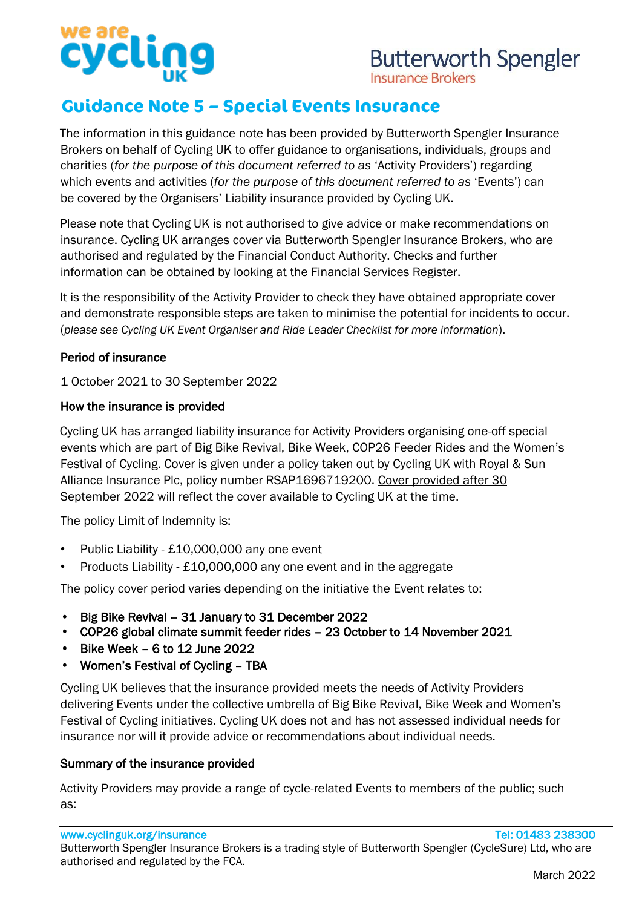# cycll

## **Butterworth Spengler**

**Insurance Brokers** 

### **Guidance Note 5 – Special Events Insurance**

The information in this guidance note has been provided by Butterworth Spengler Insurance Brokers on behalf of Cycling UK to offer guidance to organisations, individuals, groups and charities (*for the purpose of this document referred to as* 'Activity Providers') regarding which events and activities (*for the purpose of this document referred to as* 'Events') can be covered by the Organisers' Liability insurance provided by Cycling UK.

Please note that Cycling UK is not authorised to give advice or make recommendations on insurance. Cycling UK arranges cover via Butterworth Spengler Insurance Brokers, who are authorised and regulated by the Financial Conduct Authority. Checks and further information can be obtained by looking at the Financial Services Register.

It is the responsibility of the Activity Provider to check they have obtained appropriate cover and demonstrate responsible steps are taken to minimise the potential for incidents to occur. (*please see Cycling UK Event Organiser and Ride Leader Checklist for more information*).

#### Period of insurance

1 October 2021 to 30 September 2022

#### How the insurance is provided

Cycling UK has arranged liability insurance for Activity Providers organising one-off special events which are part of Big Bike Revival, Bike Week, COP26 Feeder Rides and the Women's Festival of Cycling. Cover is given under a policy taken out by Cycling UK with Royal & Sun Alliance Insurance Plc, policy number RSAP1696719200. Cover provided after 30 September 2022 will reflect the cover available to Cycling UK at the time.

The policy Limit of Indemnity is:

- Public Liability £10,000,000 any one event
- Products Liability £10,000,000 any one event and in the aggregate

The policy cover period varies depending on the initiative the Event relates to:

- Big Bike Revival 31 January to 31 December 2022
- COP26 global climate summit feeder rides 23 October to 14 November 2021
- Bike Week 6 to 12 June 2022  $\bullet$
- Women's Festival of Cycling TBA

Cycling UK believes that the insurance provided meets the needs of Activity Providers delivering Events under the collective umbrella of Big Bike Revival, Bike Week and Women's Festival of Cycling initiatives. Cycling UK does not and has not assessed individual needs for insurance nor will it provide advice or recommendations about individual needs.

#### Summary of the insurance provided

Activity Providers may provide a range of cycle-related Events to members of the public; such as: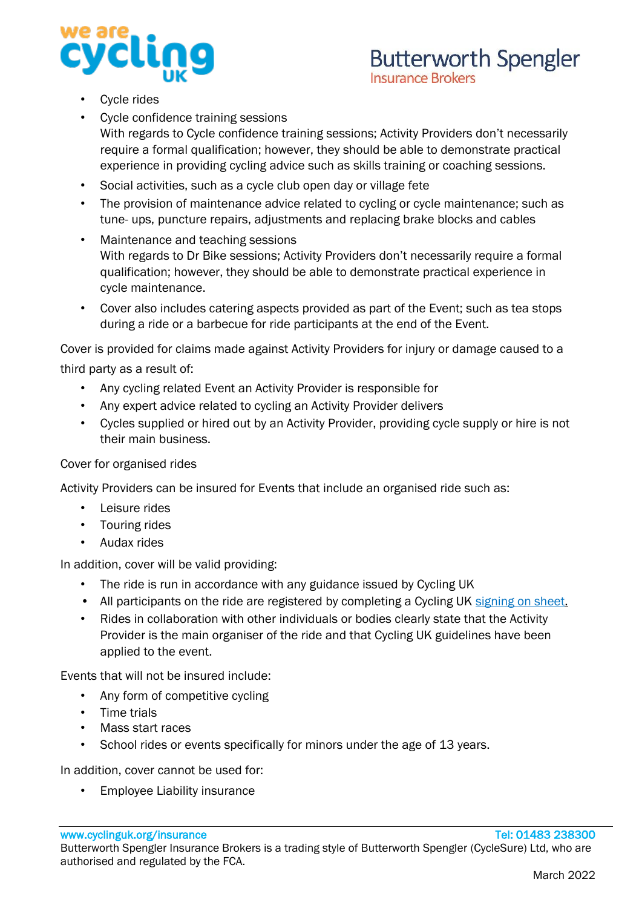

- Cycle rides
- Cycle confidence training sessions With regards to Cycle confidence training sessions; Activity Providers don't necessarily require a formal qualification; however, they should be able to demonstrate practical experience in providing cycling advice such as skills training or coaching sessions.
- Social activities, such as a cycle club open day or village fete
- The provision of maintenance advice related to cycling or cycle maintenance; such as tune- ups, puncture repairs, adjustments and replacing brake blocks and cables
- Maintenance and teaching sessions With regards to Dr Bike sessions; Activity Providers don't necessarily require a formal qualification; however, they should be able to demonstrate practical experience in cycle maintenance.
- Cover also includes catering aspects provided as part of the Event; such as tea stops during a ride or a barbecue for ride participants at the end of the Event.

Cover is provided for claims made against Activity Providers for injury or damage caused to a third party as a result of:

- Any cycling related Event an Activity Provider is responsible for
- Any expert advice related to cycling an Activity Provider delivers
- Cycles supplied or hired out by an Activity Provider, providing cycle supply or hire is not their main business.

#### Cover for organised rides

Activity Providers can be insured for Events that include an organised ride such as:

- Leisure rides
- Touring rides
- Audax rides

In addition, cover will be valid providing:

- The ride is run in accordance with any guidance issued by Cycling UK
- All participants on the ride are registered by completing a Cycling UK [signing on sheet.](https://www.cyclinguk.org/sites/default/files/document/2019/10/signing_in_and_out_sheet_v2_bw.pdf)
- Rides in collaboration with other individuals or bodies clearly state that the Activity Provider is the main organiser of the ride and that Cycling UK guidelines have been applied to the event.

Events that will not be insured include:

- Any form of competitive cycling
- Time trials
- Mass start races
- School rides or events specifically for minors under the age of 13 years.

In addition, cover cannot be used for:

• Employee Liability insurance